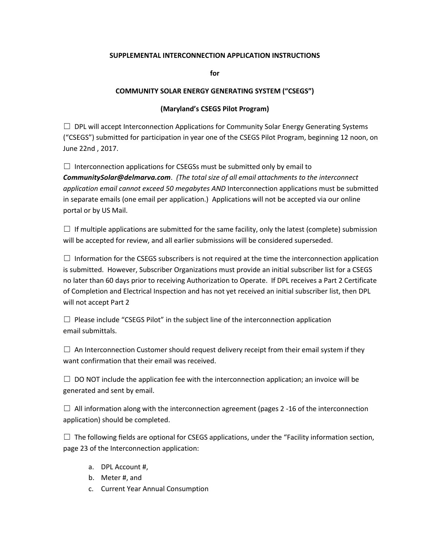## **SUPPLEMENTAL INTERCONNECTION APPLICATION INSTRUCTIONS**

**for**

## **COMMUNITY SOLAR ENERGY GENERATING SYSTEM ("CSEGS")**

## **(Maryland's CSEGS Pilot Program)**

 $\Box$  DPL will accept Interconnection Applications for Community Solar Energy Generating Systems ("CSEGS") submitted for participation in year one of the CSEGS Pilot Program, beginning 12 noon, on June 22nd , 2017.

 $\Box$  Interconnection applications for CSEGSs must be submitted only by email to *CommunitySolar@delmarva.com*. *(The total size of all email attachments to the interconnect application email cannot exceed 50 megabytes AND* Interconnection applications must be submitted in separate emails (one email per application.) Applications will not be accepted via our online portal or by US Mail.

 $\Box$  If multiple applications are submitted for the same facility, only the latest (complete) submission will be accepted for review, and all earlier submissions will be considered superseded.

 $\Box$  Information for the CSEGS subscribers is not required at the time the interconnection application is submitted. However, Subscriber Organizations must provide an initial subscriber list for a CSEGS no later than 60 days prior to receiving Authorization to Operate. If DPL receives a Part 2 Certificate of Completion and Electrical Inspection and has not yet received an initial subscriber list, then DPL will not accept Part 2

 $\Box$  Please include "CSEGS Pilot" in the subject line of the interconnection application email submittals.

 $\Box$  An Interconnection Customer should request delivery receipt from their email system if they want confirmation that their email was received.

 $\Box$  DO NOT include the application fee with the interconnection application; an invoice will be generated and sent by email.

 $\Box$  All information along with the interconnection agreement (pages 2 -16 of the interconnection application) should be completed.

 $\Box$  The following fields are optional for CSEGS applications, under the "Facility information section, page 23 of the Interconnection application:

- a. DPL Account #,
- b. Meter #, and
- c. Current Year Annual Consumption